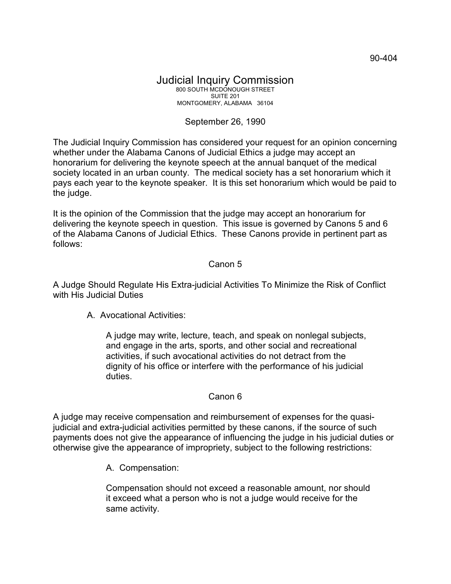## Judicial Inquiry Commission 800 SOUTH MCDONOUGH STREET SUITE 201 MONTGOMERY, ALABAMA 36104

## September 26, 1990

The Judicial Inquiry Commission has considered your request for an opinion concerning whether under the Alabama Canons of Judicial Ethics a judge may accept an honorarium for delivering the keynote speech at the annual banquet of the medical society located in an urban county. The medical society has a set honorarium which it pays each year to the keynote speaker. It is this set honorarium which would be paid to the judge.

It is the opinion of the Commission that the judge may accept an honorarium for delivering the keynote speech in question. This issue is governed by Canons 5 and 6 of the Alabama Canons of Judicial Ethics. These Canons provide in pertinent part as follows:

## Canon 5

A Judge Should Regulate His Extra-judicial Activities To Minimize the Risk of Conflict with His Judicial Duties

A. Avocational Activities:

A judge may write, lecture, teach, and speak on nonlegal subjects, and engage in the arts, sports, and other social and recreational activities, if such avocational activities do not detract from the dignity of his office or interfere with the performance of his judicial duties.

## Canon 6

A judge may receive compensation and reimbursement of expenses for the quasijudicial and extra-judicial activities permitted by these canons, if the source of such payments does not give the appearance of influencing the judge in his judicial duties or otherwise give the appearance of impropriety, subject to the following restrictions:

A. Compensation:

Compensation should not exceed a reasonable amount, nor should it exceed what a person who is not a judge would receive for the same activity.